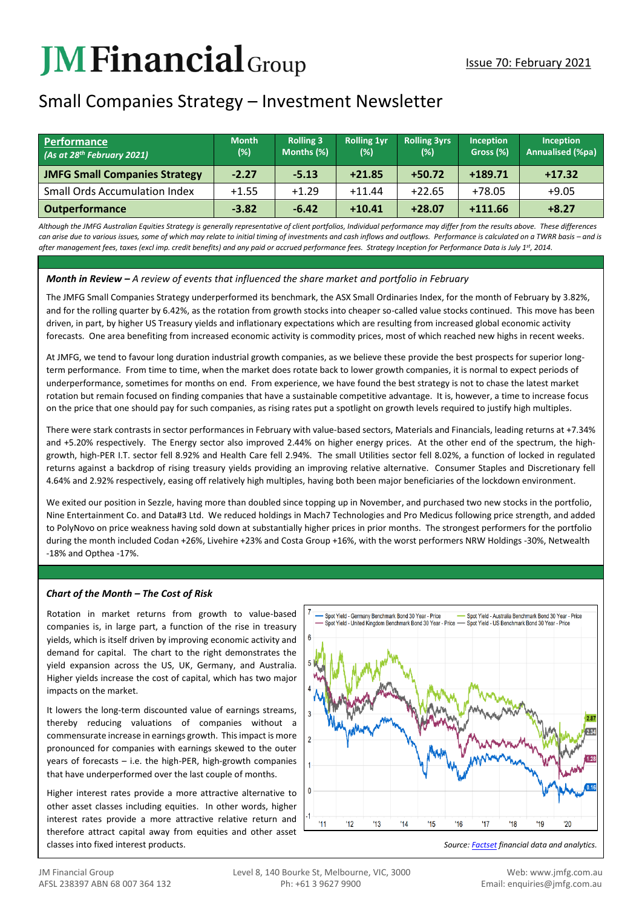# **JMFinancial**Group

# Small Companies Strategy – Investment Newsletter

| Performance<br>(As at 28th February 2021) | <b>Month</b><br>(%) | <b>Rolling 3</b><br>Months (%) | <b>Rolling 1yr</b><br>(%) | <b>Rolling 3yrs</b><br>$(\%)$ | Inception<br>Gross (%) | <b>Inception</b><br><b>Annualised (%pa)</b> |
|-------------------------------------------|---------------------|--------------------------------|---------------------------|-------------------------------|------------------------|---------------------------------------------|
| <b>JMFG Small Companies Strategy</b>      | $-2.27$             | $-5.13$                        | $+21.85$                  | $+50.72$                      | $+189.71$              | $+17.32$                                    |
| <b>Small Ords Accumulation Index</b>      | $+1.55$             | $+1.29$                        | $+11.44$                  | $+22.65$                      | $+78.05$               | $+9.05$                                     |
| <b>Outperformance</b>                     | $-3.82$             | $-6.42$                        | $+10.41$                  | $+28.07$                      | $+111.66$              | $+8.27$                                     |

*Although the JMFG Australian Equities Strategy is generally representative of client portfolios, Individual performance may differ from the results above. These differences*  can arise due to various issues, some of which may relate to initial timing of investments and cash inflows and outflows. Performance is calculated on a TWRR basis – and is *after management fees, taxes (excl imp. credit benefits) and any paid or accrued performance fees. Strategy Inception for Performance Data is July 1st, 2014.*

## *Month in Review – A review of events that influenced the share market and portfolio in February*

The JMFG Small Companies Strategy underperformed its benchmark, the ASX Small Ordinaries Index, for the month of February by 3.82%, and for the rolling quarter by 6.42%, as the rotation from growth stocks into cheaper so-called value stocks continued. This move has been driven, in part, by higher US Treasury yields and inflationary expectations which are resulting from increased global economic activity forecasts. One area benefiting from increased economic activity is commodity prices, most of which reached new highs in recent weeks.

At JMFG, we tend to favour long duration industrial growth companies, as we believe these provide the best prospects for superior longterm performance. From time to time, when the market does rotate back to lower growth companies, it is normal to expect periods of underperformance, sometimes for months on end. From experience, we have found the best strategy is not to chase the latest market rotation but remain focused on finding companies that have a sustainable competitive advantage. It is, however, a time to increase focus on the price that one should pay for such companies, as rising rates put a spotlight on growth levels required to justify high multiples.

There were stark contrasts in sector performances in February with value-based sectors, Materials and Financials, leading returns at +7.34% and +5.20% respectively. The Energy sector also improved 2.44% on higher energy prices. At the other end of the spectrum, the highgrowth, high-PER I.T. sector fell 8.92% and Health Care fell 2.94%. The small Utilities sector fell 8.02%, a function of locked in regulated returns against a backdrop of rising treasury yields providing an improving relative alternative. Consumer Staples and Discretionary fell 4.64% and 2.92% respectively, easing off relatively high multiples, having both been major beneficiaries of the lockdown environment.

We exited our position in Sezzle, having more than doubled since topping up in November, and purchased two new stocks in the portfolio, Nine Entertainment Co. and Data#3 Ltd. We reduced holdings in Mach7 Technologies and Pro Medicus following price strength, and added to PolyNovo on price weakness having sold down at substantially higher prices in prior months. The strongest performers for the portfolio during the month included Codan +26%, Livehire +23% and Costa Group +16%, with the worst performers NRW Holdings -30%, Netwealth -18% and Opthea -17%.

## *Chart of the Month – The Cost of Risk*

Rotation in market returns from growth to value-based companies is, in large part, a function of the rise in treasury yields, which is itself driven by improving economic activity and demand for capital. The chart to the right demonstrates the yield expansion across the US, UK, Germany, and Australia. Higher yields increase the cost of capital, which has two major impacts on the market.

It lowers the long-term discounted value of earnings streams, thereby reducing valuations of companies without a commensurate increase in earnings growth. This impact is more pronounced for companies with earnings skewed to the outer years of forecasts – i.e. the high-PER, high-growth companies that have underperformed over the last couple of months.

Higher interest rates provide a more attractive alternative to other asset classes including equities. In other words, higher interest rates provide a more attractive relative return and therefore attract capital away from equities and other asset classes into fixed interest products. *Source[: Factset](http://www.factset.com/) financial data and analytics.*